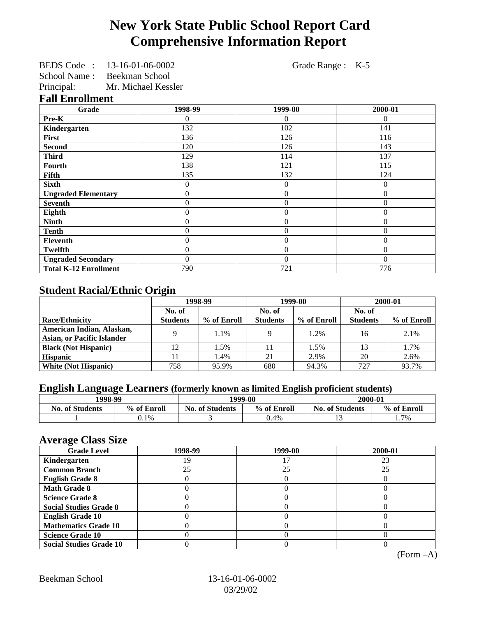# **New York State Public School Report Card Comprehensive Information Report**

BEDS Code : 13-16-01-06-0002 Grade Range : K-5

School Name : Beekman School

Principal: Mr. Michael Kessler

**Fall Enrollment**

| Grade                        | 1998-99 | 1999-00        | 2000-01  |
|------------------------------|---------|----------------|----------|
| Pre-K                        | 0       | $\Omega$       | $\theta$ |
| Kindergarten                 | 132     | 102            | 141      |
| First                        | 136     | 126            | 116      |
| <b>Second</b>                | 120     | 126            | 143      |
| <b>Third</b>                 | 129     | 114            | 137      |
| Fourth                       | 138     | 121            | 115      |
| <b>Fifth</b>                 | 135     | 132            | 124      |
| <b>Sixth</b>                 | 0       | $\overline{0}$ | $\Omega$ |
| <b>Ungraded Elementary</b>   | 0       | $\overline{0}$ | $\theta$ |
| <b>Seventh</b>               | 0       | $\theta$       | $\Omega$ |
| Eighth                       | 0       | $\theta$       | $\Omega$ |
| <b>Ninth</b>                 | 0       | $\overline{0}$ | $\theta$ |
| <b>Tenth</b>                 | 0       | $\overline{0}$ | $\Omega$ |
| <b>Eleventh</b>              | 0       | $\overline{0}$ | $\Omega$ |
| <b>Twelfth</b>               | 0       | $\overline{0}$ | $\Omega$ |
| <b>Ungraded Secondary</b>    | 0       | $\theta$       | $\Omega$ |
| <b>Total K-12 Enrollment</b> | 790     | 721            | 776      |

## **Student Racial/Ethnic Origin**

|                                   | 1998-99         |             | 1999-00         |             | 2000-01         |             |
|-----------------------------------|-----------------|-------------|-----------------|-------------|-----------------|-------------|
|                                   | No. of          |             | No. of          |             | No. of          |             |
| <b>Race/Ethnicity</b>             | <b>Students</b> | % of Enroll | <b>Students</b> | % of Enroll | <b>Students</b> | % of Enroll |
| American Indian, Alaskan,         | Q               | 1.1%        |                 | 1.2%        | 16              | 2.1%        |
| <b>Asian, or Pacific Islander</b> |                 |             |                 |             |                 |             |
| <b>Black (Not Hispanic)</b>       | 12              | 1.5%        |                 | 1.5%        | 13              | 1.7%        |
| <b>Hispanic</b>                   |                 | 1.4%        | 21              | 2.9%        | 20              | 2.6%        |
| <b>White (Not Hispanic)</b>       | 758             | 95.9%       | 680             | 94.3%       | 727             | 93.7%       |

## **English Language Learners (formerly known as limited English proficient students)**

| 1998-99                |             | 1999-00                |             | 2000-01              |             |
|------------------------|-------------|------------------------|-------------|----------------------|-------------|
| <b>No. of Students</b> | % of Enroll | <b>No. of Students</b> | % of Enroll | No.<br>. of Students | % of Enroll |
|                        | 0.1%        |                        | 0.4%        |                      | 1.7%        |

#### **Average Class Size**

| ---- <del>-</del> --<br><b>Grade Level</b> | 1998-99 | 1999-00 | 2000-01 |
|--------------------------------------------|---------|---------|---------|
| Kindergarten                               | 19      |         | 23      |
| <b>Common Branch</b>                       | 25      | 25      | 25      |
| <b>English Grade 8</b>                     |         |         |         |
| <b>Math Grade 8</b>                        |         |         |         |
| <b>Science Grade 8</b>                     |         |         |         |
| <b>Social Studies Grade 8</b>              |         |         |         |
| <b>English Grade 10</b>                    |         |         |         |
| <b>Mathematics Grade 10</b>                |         |         |         |
| <b>Science Grade 10</b>                    |         |         |         |
| <b>Social Studies Grade 10</b>             |         |         |         |

(Form –A)